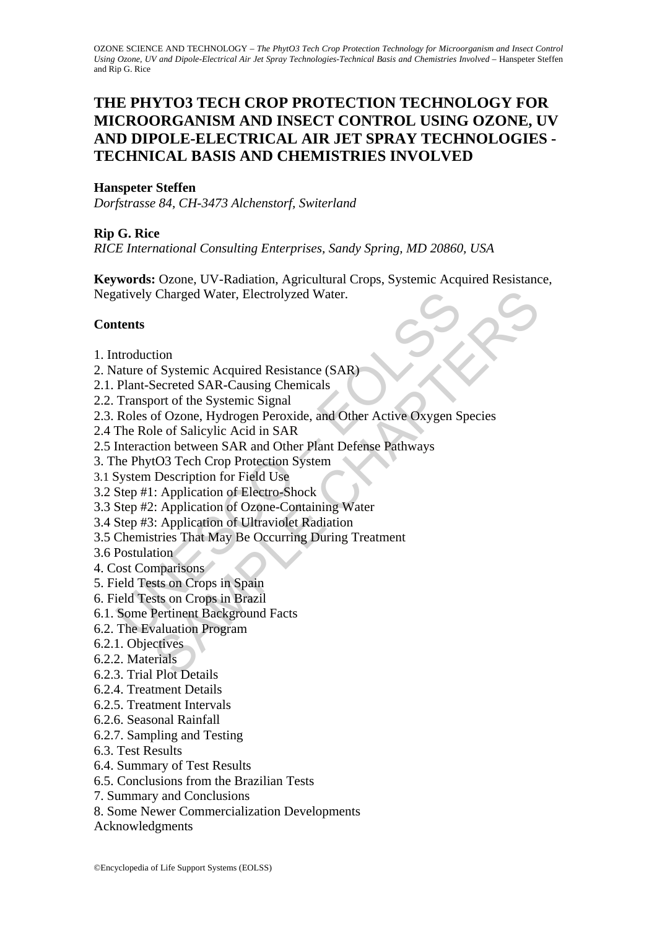# **THE PHYTO3 TECH CROP PROTECTION TECHNOLOGY FOR MICROORGANISM AND INSECT CONTROL USING OZONE, UV AND DIPOLE-ELECTRICAL AIR JET SPRAY TECHNOLOGIES - TECHNICAL BASIS AND CHEMISTRIES INVOLVED**

#### **Hanspeter Steffen**

*Dorfstrasse 84, CH-3473 Alchenstorf, Switerland* 

#### **Rip G. Rice**

*RICE International Consulting Enterprises, Sandy Spring, MD 20860, USA* 

Charged Water, Electrolyzed Water.<br>
Scharmed Resistance (SAR)<br>
Secreted SAR-Causing Chemicals<br>
Secreted SAR-Causing Chemicals<br>
ort of the Systemic Signal<br>
of Ozone, Hydrogen Peroxide, and Other Active Oxygen Species<br>
le of **Keywords:** Ozone, UV-Radiation, Agricultural Crops, Systemic Acquired Resistance, Negatively Charged Water, Electrolyzed Water.

#### **Contents**

- 1. Introduction
- 2. Nature of Systemic Acquired Resistance (SAR)
- 2.1. Plant-Secreted SAR-Causing Chemicals
- 2.2. Transport of the Systemic Signal
- atively Charged Water, Electrolyzed Water.<br> **Attents**<br>
attroduction<br>
attroduction<br>
attractor of Systemic Acquired Resistance (SAR)<br>
Plant-Secreted SAR-Causing Chemicals<br>
Transport of the Systemic Signal<br>
and Other Active O 2.3. Roles of Ozone, Hydrogen Peroxide, and Other Active Oxygen Species
- 2.4 The Role of Salicylic Acid in SAR
- 2.5 Interaction between SAR and Other Plant Defense Pathways
- 3. The PhytO3 Tech Crop Protection System
- 3.1 System Description for Field Use
- 3.2 Step #1: Application of Electro-Shock
- 3.3 Step #2: Application of Ozone-Containing Water
- 3.4 Step #3: Application of Ultraviolet Radiation
- 3.5 Chemistries That May Be Occurring During Treatment

3.6 Postulation

- 4. Cost Comparisons
- 5. Field Tests on Crops in Spain
- 6. Field Tests on Crops in Brazil
- 6.1. Some Pertinent Background Facts
- 6.2. The Evaluation Program
- 6.2.1. Objectives
- 6.2.2. Materials
- 6.2.3. Trial Plot Details
- 6.2.4. Treatment Details
- 6.2.5. Treatment Intervals
- 6.2.6. Seasonal Rainfall
- 6.2.7. Sampling and Testing
- 6.3. Test Results
- 6.4. Summary of Test Results
- 6.5. Conclusions from the Brazilian Tests
- 7. Summary and Conclusions
- 8. Some Newer Commercialization Developments
- Acknowledgments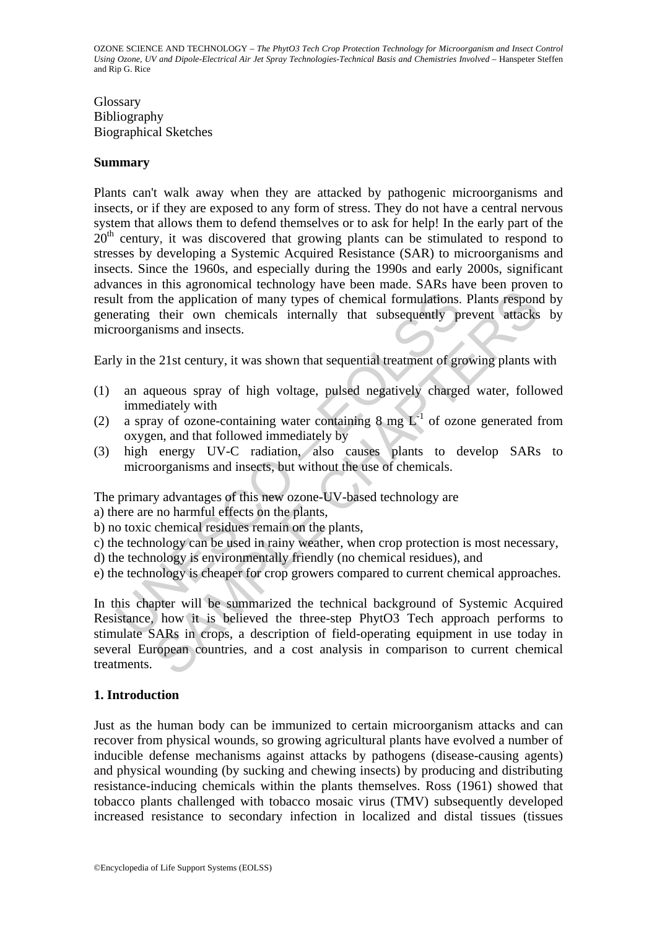Glossary Bibliography Biographical Sketches

#### **Summary**

It from the application of many types of chemical formulations.<br>
Frating their own chemicals internally that subsequently proorganisms and insects.<br>
y in the 21st century, it was shown that sequential treatment of grand a Plants can't walk away when they are attacked by pathogenic microorganisms and insects, or if they are exposed to any form of stress. They do not have a central nervous system that allows them to defend themselves or to ask for help! In the early part of the  $20<sup>th</sup>$  century, it was discovered that growing plants can be stimulated to respond to stresses by developing a Systemic Acquired Resistance (SAR) to microorganisms and insects. Since the 1960s, and especially during the 1990s and early 2000s, significant advances in this agronomical technology have been made. SARs have been proven to result from the application of many types of chemical formulations. Plants respond by generating their own chemicals internally that subsequently prevent attacks by microorganisms and insects.

Early in the 21st century, it was shown that sequential treatment of growing plants with

- (1) an aqueous spray of high voltage, pulsed negatively charged water, followed immediately with
- (2) a spray of ozone-containing water containing  $8 \text{ mg } L^{-1}$  of ozone generated from oxygen, and that followed immediately by
- (3) high energy UV-C radiation, also causes plants to develop SARs to microorganisms and insects, but without the use of chemicals.

The primary advantages of this new ozone-UV-based technology are

a) there are no harmful effects on the plants,

- b) no toxic chemical residues remain on the plants,
- c) the technology can be used in rainy weather, when crop protection is most necessary,
- d) the technology is environmentally friendly (no chemical residues), and
- e) the technology is cheaper for crop growers compared to current chemical approaches.

the application of many types of chemical formulations. Plants respondent the application of many types of chemical formulations. Plants respondent their own chemicals internally that subsequently prevent attacks is ms and In this chapter will be summarized the technical background of Systemic Acquired Resistance, how it is believed the three-step PhytO3 Tech approach performs to stimulate SARs in crops, a description of field-operating equipment in use today in several European countries, and a cost analysis in comparison to current chemical treatments.

## **1. Introduction**

Just as the human body can be immunized to certain microorganism attacks and can recover from physical wounds, so growing agricultural plants have evolved a number of inducible defense mechanisms against attacks by pathogens (disease-causing agents) and physical wounding (by sucking and chewing insects) by producing and distributing resistance-inducing chemicals within the plants themselves. Ross (1961) showed that tobacco plants challenged with tobacco mosaic virus (TMV) subsequently developed increased resistance to secondary infection in localized and distal tissues (tissues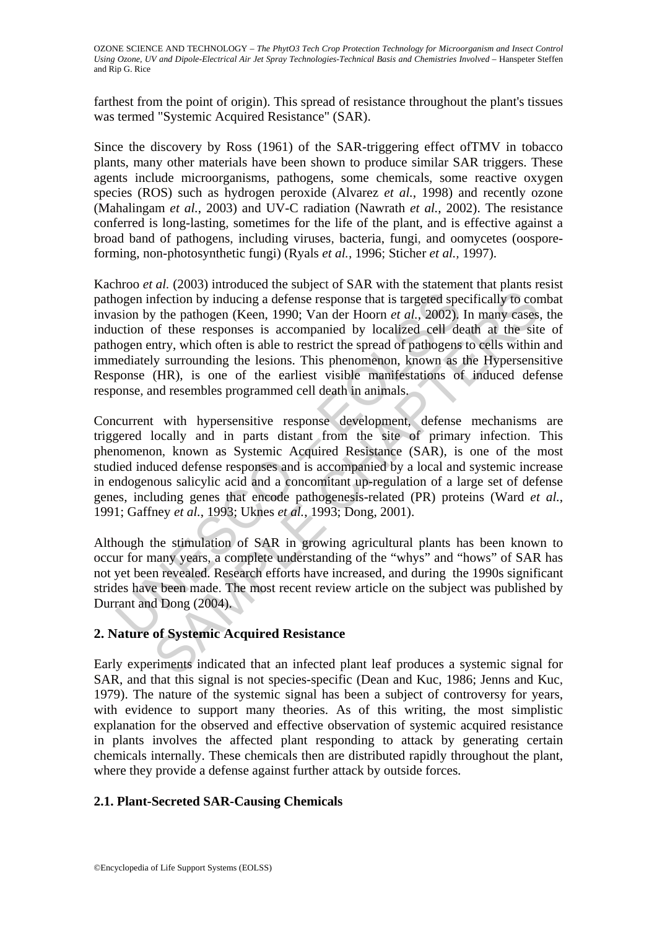farthest from the point of origin). This spread of resistance throughout the plant's tissues was termed "Systemic Acquired Resistance" (SAR).

Since the discovery by Ross (1961) of the SAR-triggering effect ofTMV in tobacco plants, many other materials have been shown to produce similar SAR triggers. These agents include microorganisms, pathogens, some chemicals, some reactive oxygen species (ROS) such as hydrogen peroxide (Alvarez *et al.*, 1998) and recently ozone (Mahalingam *et al.*, 2003) and UV-C radiation (Nawrath *et al.*, 2002). The resistance conferred is long-lasting, sometimes for the life of the plant, and is effective against a broad band of pathogens, including viruses, bacteria, fungi, and oomycetes (oosporeforming, non-photosynthetic fungi) (Ryals *et al.*, 1996; Sticher *et al.,* 1997).

nogen infection by inducing a defense response that is targeted spesion by the pathogen (Keen, 1990; Van der Hoorn *et al.*, 2002), crition of these responses is accompanied by localized cell delogen entry, which often is frection by inducing a defense response that is targeted specifically to cor<br>offection by inducing a defense response that is targeted specifically to cor<br>of these responses is accomparied by localized cell death at the s Kachroo *et al.* (2003) introduced the subject of SAR with the statement that plants resist pathogen infection by inducing a defense response that is targeted specifically to combat invasion by the pathogen (Keen, 1990; Van der Hoorn *et al.*, 2002). In many cases, the induction of these responses is accompanied by localized cell death at the site of pathogen entry, which often is able to restrict the spread of pathogens to cells within and immediately surrounding the lesions. This phenomenon, known as the Hypersensitive Response (HR), is one of the earliest visible manifestations of induced defense response, and resembles programmed cell death in animals.

Concurrent with hypersensitive response development, defense mechanisms are triggered locally and in parts distant from the site of primary infection. This phenomenon, known as Systemic Acquired Resistance (SAR), is one of the most studied induced defense responses and is accompanied by a local and systemic increase in endogenous salicylic acid and a concomitant up-regulation of a large set of defense genes, including genes that encode pathogenesis-related (PR) proteins (Ward *et al.*, 1991; Gaffney *et al.*, 1993; Uknes *et al.*, 1993; Dong, 2001).

Although the stimulation of SAR in growing agricultural plants has been known to occur for many years, a complete understanding of the "whys" and "hows" of SAR has not yet been revealed. Research efforts have increased, and during the 1990s significant strides have been made. The most recent review article on the subject was published by Durrant and Dong (2004).

## **2. Nature of Systemic Acquired Resistance**

Early experiments indicated that an infected plant leaf produces a systemic signal for SAR, and that this signal is not species-specific (Dean and Kuc, 1986; Jenns and Kuc, 1979). The nature of the systemic signal has been a subject of controversy for years, with evidence to support many theories. As of this writing, the most simplistic explanation for the observed and effective observation of systemic acquired resistance in plants involves the affected plant responding to attack by generating certain chemicals internally. These chemicals then are distributed rapidly throughout the plant, where they provide a defense against further attack by outside forces.

## **2.1. Plant-Secreted SAR-Causing Chemicals**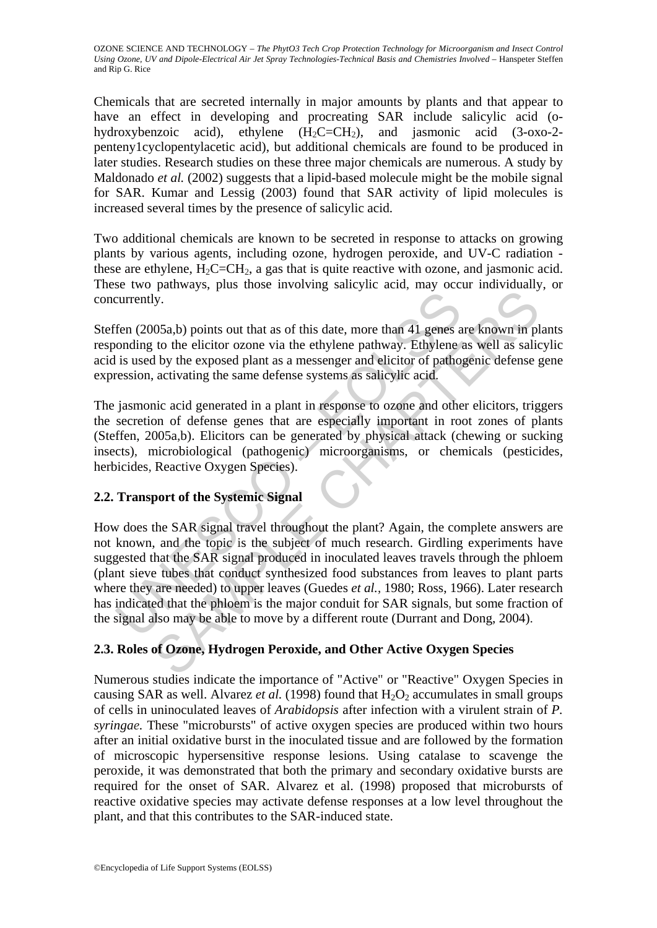Chemicals that are secreted internally in major amounts by plants and that appear to have an effect in developing and procreating SAR include salicylic acid (ohydroxybenzoic acid), ethylene  $(H_2C=CH_2)$ , and jasmonic acid (3-oxo-2penteny1cyclopentylacetic acid), but additional chemicals are found to be produced in later studies. Research studies on these three major chemicals are numerous. A study by Maldonado *et al.* (2002) suggests that a lipid-based molecule might be the mobile signal for SAR. Kumar and Lessig (2003) found that SAR activity of lipid molecules is increased several times by the presence of salicylic acid.

Two additional chemicals are known to be secreted in response to attacks on growing plants by various agents, including ozone, hydrogen peroxide, and UV-C radiation these are ethylene,  $H_2C=CH_2$ , a gas that is quite reactive with ozone, and jasmonic acid. These two pathways, plus those involving salicylic acid, may occur individually, or concurrently.

Steffen (2005a,b) points out that as of this date, more than 41 genes are known in plants responding to the elicitor ozone via the ethylene pathway. Ethylene as well as salicylic acid is used by the exposed plant as a messenger and elicitor of pathogenic defense gene expression, activating the same defense systems as salicylic acid.

The jasmonic acid generated in a plant in response to ozone and other elicitors, triggers the secretion of defense genes that are especially important in root zones of plants (Steffen, 2005a,b). Elicitors can be generated by physical attack (chewing or sucking insects), microbiological (pathogenic) microorganisms, or chemicals (pesticides, herbicides, Reactive Oxygen Species).

## **2.2. Transport of the Systemic Signal**

currently.<br>
Then (2005a,b) points out that as of this date, more than 41 genes and<br>
is used by the exposed plant as a messenger and elicitor of pathol<br>
is used by the exposed plant as a messenger and elicitor of pathol<br>
r by.<br>
Solon, points out that as of this date, more than 41 genes are known in plats<br>
to the elicitor ozone via the ethylene pathway. Ethylene as well as salid<br>
d by the exposed plant as a messenger and elicitor of pathogeni How does the SAR signal travel throughout the plant? Again, the complete answers are not known, and the topic is the subject of much research. Girdling experiments have suggested that the SAR signal produced in inoculated leaves travels through the phloem (plant sieve tubes that conduct synthesized food substances from leaves to plant parts where they are needed) to upper leaves (Guedes *et al.*, 1980; Ross, 1966). Later research has indicated that the phloem is the major conduit for SAR signals, but some fraction of the signal also may be able to move by a different route (Durrant and Dong, 2004).

## **2.3. Roles of Ozone, Hydrogen Peroxide, and Other Active Oxygen Species**

Numerous studies indicate the importance of "Active" or "Reactive" Oxygen Species in causing SAR as well. Alvarez *et al.* (1998) found that  $H_2O_2$  accumulates in small groups of cells in uninoculated leaves of *Arabidopsis* after infection with a virulent strain of *P. syringae.* These "microbursts" of active oxygen species are produced within two hours after an initial oxidative burst in the inoculated tissue and are followed by the formation of microscopic hypersensitive response lesions. Using catalase to scavenge the peroxide, it was demonstrated that both the primary and secondary oxidative bursts are required for the onset of SAR. Alvarez et al. (1998) proposed that microbursts of reactive oxidative species may activate defense responses at a low level throughout the plant, and that this contributes to the SAR-induced state.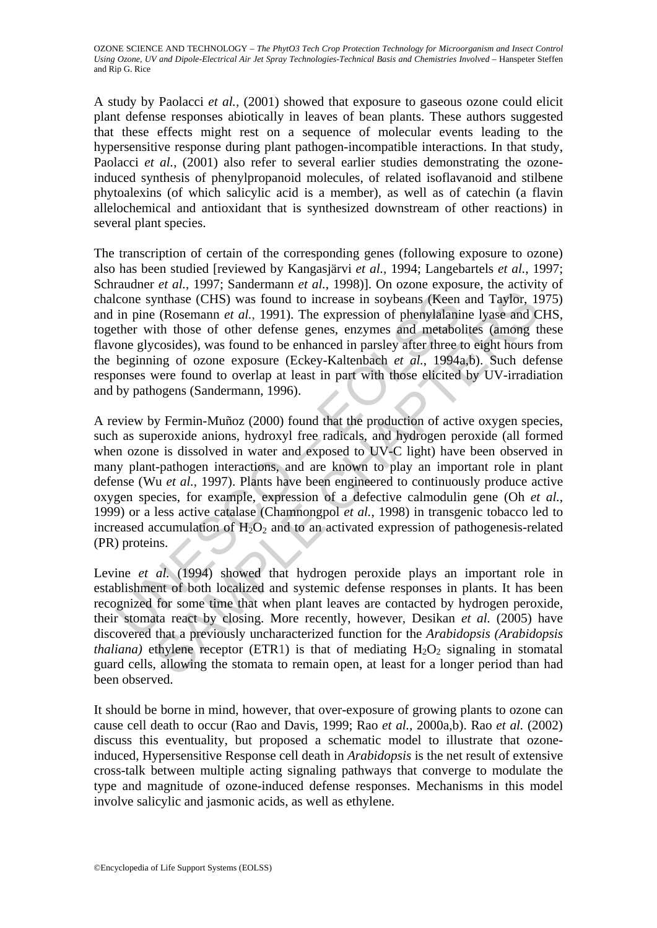A study by Paolacci *et al.*, (2001) showed that exposure to gaseous ozone could elicit plant defense responses abiotically in leaves of bean plants. These authors suggested that these effects might rest on a sequence of molecular events leading to the hypersensitive response during plant pathogen-incompatible interactions. In that study, Paolacci *et al.*, (2001) also refer to several earlier studies demonstrating the ozoneinduced synthesis of phenylpropanoid molecules, of related isoflavanoid and stilbene phytoalexins (of which salicylic acid is a member), as well as of catechin (a flavin allelochemical and antioxidant that is synthesized downstream of other reactions) in several plant species.

The transcription of certain of the corresponding genes (following exposure to ozone) also has been studied [reviewed by Kangasjärvi *et al.*, 1994; Langebartels *et al.*, 1997; Schraudner *et al.*, 1997; Sandermann *et al.*, 1998)]. On ozone exposure, the activity of chalcone synthase (CHS) was found to increase in soybeans (Keen and Taylor, 1975) and in pine (Rosemann *et al.*, 1991). The expression of phenylalanine lyase and CHS, together with those of other defense genes, enzymes and metabolites (among these flavone glycosides), was found to be enhanced in parsley after three to eight hours from the beginning of ozone exposure (Eckey-Kaltenbach *et al.*, 1994a,b). Such defense responses were found to overlap at least in part with those elicited by UV-irradiation and by pathogens (Sandermann, 1996).

cone synthase (CHS) was found to increase in soybeans (Keen<br>in pine (Rosemann *et al.*, 1991). The expression of phenylalanii<br>ther with those of other defense genes, enzymes and metabol<br>one glycosides), was found to be en bythmas (CHS) was found to increase in soybeans (Keen and Taylor, 19<br>
ynthase (CHS) was found to increase in soybeans (Keen and Taylor, 19<br>
(Rosemann *et al.*, 1991). The expression of phenylalanine lyase and C<br>
ith those A review by Fermin-Muñoz (2000) found that the production of active oxygen species, such as superoxide anions, hydroxyl free radicals, and hydrogen peroxide (all formed when ozone is dissolved in water and exposed to UV-C light) have been observed in many plant-pathogen interactions, and are known to play an important role in plant defense (Wu *et al.*, 1997). Plants have been engineered to continuously produce active oxygen species, for example, expression of a defective calmodulin gene (Oh *et al.*, 1999) or a less active catalase (Chamnongpol *et al.*, 1998) in transgenic tobacco led to increased accumulation of  $H_2O_2$  and to an activated expression of pathogenesis-related (PR) proteins.

Levine *et al.* (1994) showed that hydrogen peroxide plays an important role in establishment of both localized and systemic defense responses in plants. It has been recognized for some time that when plant leaves are contacted by hydrogen peroxide, their stomata react by closing. More recently, however, Desikan *et al.* (2005) have discovered that a previously uncharacterized function for the *Arabidopsis (Arabidopsis thaliana*) ethylene receptor (ETR1) is that of mediating  $H_2O_2$  signaling in stomatal guard cells, allowing the stomata to remain open, at least for a longer period than had been observed.

It should be borne in mind, however, that over-exposure of growing plants to ozone can cause cell death to occur (Rao and Davis, 1999; Rao *et al.,* 2000a,b). Rao *et al.* (2002) discuss this eventuality, but proposed a schematic model to illustrate that ozoneinduced, Hypersensitive Response cell death in *Arabidopsis* is the net result of extensive cross-talk between multiple acting signaling pathways that converge to modulate the type and magnitude of ozone-induced defense responses. Mechanisms in this model involve salicylic and jasmonic acids, as well as ethylene.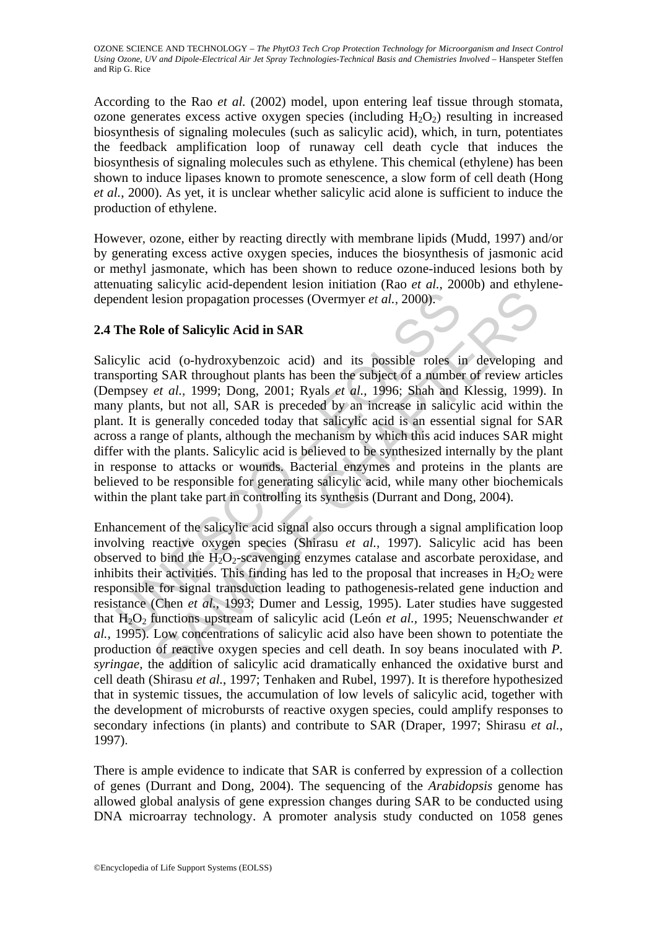According to the Rao *et al.* (2002) model, upon entering leaf tissue through stomata, ozone generates excess active oxygen species (including  $H_2O_2$ ) resulting in increased biosynthesis of signaling molecules (such as salicylic acid), which, in turn, potentiates the feedback amplification loop of runaway cell death cycle that induces the biosynthesis of signaling molecules such as ethylene. This chemical (ethylene) has been shown to induce lipases known to promote senescence, a slow form of cell death (Hong *et al.*, 2000). As yet, it is unclear whether salicylic acid alone is sufficient to induce the production of ethylene.

However, ozone, either by reacting directly with membrane lipids (Mudd, 1997) and/or by generating excess active oxygen species, induces the biosynthesis of jasmonic acid or methyl jasmonate, which has been shown to reduce ozone-induced lesions both by attenuating salicylic acid-dependent lesion initiation (Rao *et al.*, 2000b) and ethylenedependent lesion propagation processes (Overmyer *et al.*, 2000).

## **2.4 The Role of Salicylic Acid in SAR**

endent lesion propagation processes (Overmyer *et al.*, 2000).<br> **The Role of Salicylic Acid in SAR**<br>
cylic acid (o-hydroxybenzoic acid) and its possible roles in<br>
sporting SAR throughout plants has been the subject of a n Salicylic acid (o-hydroxybenzoic acid) and its possible roles in developing and transporting SAR throughout plants has been the subject of a number of review articles (Dempsey *et al.*, 1999; Dong, 2001; Ryals *et al.,* 1996; Shah and Klessig, 1999). In many plants, but not all, SAR is preceded by an increase in salicylic acid within the plant. It is generally conceded today that salicylic acid is an essential signal for SAR across a range of plants, although the mechanism by which this acid induces SAR might differ with the plants. Salicylic acid is believed to be synthesized internally by the plant in response to attacks or wounds. Bacterial enzymes and proteins in the plants are believed to be responsible for generating salicylic acid, while many other biochemicals within the plant take part in controlling its synthesis (Durrant and Dong, 2004).

esion propagation processes (Overmyer et al., 2000).<br>
Le of Salicylic Acid in SAR<br>
teid (o-hydroxybenzoic acid) and its possible roles in developing<br>
s SAR throughout plants has been the subject of a number of review arti Enhancement of the salicylic acid signal also occurs through a signal amplification loop involving reactive oxygen species (Shirasu *et al.*, 1997). Salicylic acid has been observed to bind the  $H_2O_2$ -scavenging enzymes catalase and ascorbate peroxidase, and inhibits their activities. This finding has led to the proposal that increases in  $H_2O_2$  were responsible for signal transduction leading to pathogenesis-related gene induction and resistance (Chen *et al.*, 1993; Dumer and Lessig, 1995). Later studies have suggested that H2O2 functions upstream of salicylic acid (León *et al.,* 1995; Neuenschwander *et al.,* 1995). Low concentrations of salicylic acid also have been shown to potentiate the production of reactive oxygen species and cell death. In soy beans inoculated with *P. syringae,* the addition of salicylic acid dramatically enhanced the oxidative burst and cell death (Shirasu *et al.*, 1997; Tenhaken and Rubel, 1997). It is therefore hypothesized that in systemic tissues, the accumulation of low levels of salicylic acid, together with the development of microbursts of reactive oxygen species, could amplify responses to secondary infections (in plants) and contribute to SAR (Draper, 1997; Shirasu *et al.*, 1997).

There is ample evidence to indicate that SAR is conferred by expression of a collection of genes (Durrant and Dong, 2004). The sequencing of the *Arabidopsis* genome has allowed global analysis of gene expression changes during SAR to be conducted using DNA microarray technology. A promoter analysis study conducted on 1058 genes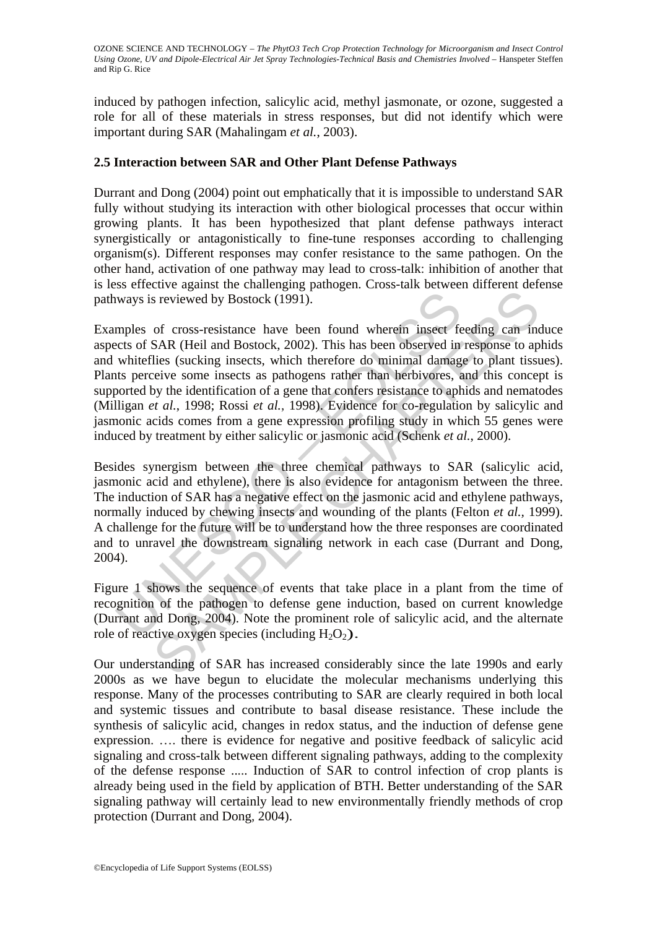induced by pathogen infection, salicylic acid, methyl jasmonate, or ozone, suggested a role for all of these materials in stress responses, but did not identify which were important during SAR (Mahalingam *et al.*, 2003).

#### **2.5 Interaction between SAR and Other Plant Defense Pathways**

Durrant and Dong (2004) point out emphatically that it is impossible to understand SAR fully without studying its interaction with other biological processes that occur within growing plants. It has been hypothesized that plant defense pathways interact synergistically or antagonistically to fine-tune responses according to challenging organism(s). Different responses may confer resistance to the same pathogen. On the other hand, activation of one pathway may lead to cross-talk: inhibition of another that is less effective against the challenging pathogen. Cross-talk between different defense pathways is reviewed by Bostock (1991).

ways is reviewed by Bostock (1991).<br>
mples of cross-resistance have been found wherein insect fects of SAR (Heil and Bostock, 2002). This has been observed in<br>
whitellies (sucking insects, which therefore do minimal damag s reviewed by Bostock (1991).<br>
of cross-resistance have been found wherein insect feeding can in<br>
SAR (Heil and Bostock, 2002). This has been observed in response to ap<br>
lies (sucking insects, which therefore do minimal d Examples of cross-resistance have been found wherein insect feeding can induce aspects of SAR (Heil and Bostock, 2002). This has been observed in response to aphids and whiteflies (sucking insects, which therefore do minimal damage to plant tissues). Plants perceive some insects as pathogens rather than herbivores, and this concept is supported by the identification of a gene that confers resistance to aphids and nematodes (Milligan *et al.*, 1998; Rossi *et al.*, 1998). Evidence for co-regulation by salicylic and jasmonic acids comes from a gene expression profiling study in which 55 genes were induced by treatment by either salicylic or jasmonic acid (Schenk *et al.*, 2000).

Besides synergism between the three chemical pathways to SAR (salicylic acid, jasmonic acid and ethylene), there is also evidence for antagonism between the three. The induction of SAR has a negative effect on the jasmonic acid and ethylene pathways, normally induced by chewing insects and wounding of the plants (Felton *et al.,* 1999). A challenge for the future will be to understand how the three responses are coordinated and to unravel the downstream signaling network in each case (Durrant and Dong, 2004).

Figure 1 shows the sequence of events that take place in a plant from the time of recognition of the pathogen to defense gene induction, based on current knowledge (Durrant and Dong, 2004). Note the prominent role of salicylic acid, and the alternate role of reactive oxygen species (including  $H_2O_2$ ).

Our understanding of SAR has increased considerably since the late 1990s and early 2000s as we have begun to elucidate the molecular mechanisms underlying this response. Many of the processes contributing to SAR are clearly required in both local and systemic tissues and contribute to basal disease resistance. These include the synthesis of salicylic acid, changes in redox status, and the induction of defense gene expression. …. there is evidence for negative and positive feedback of salicylic acid signaling and cross-talk between different signaling pathways, adding to the complexity of the defense response ..... Induction of SAR to control infection of crop plants is already being used in the field by application of BTH. Better understanding of the SAR signaling pathway will certainly lead to new environmentally friendly methods of crop protection (Durrant and Dong, 2004).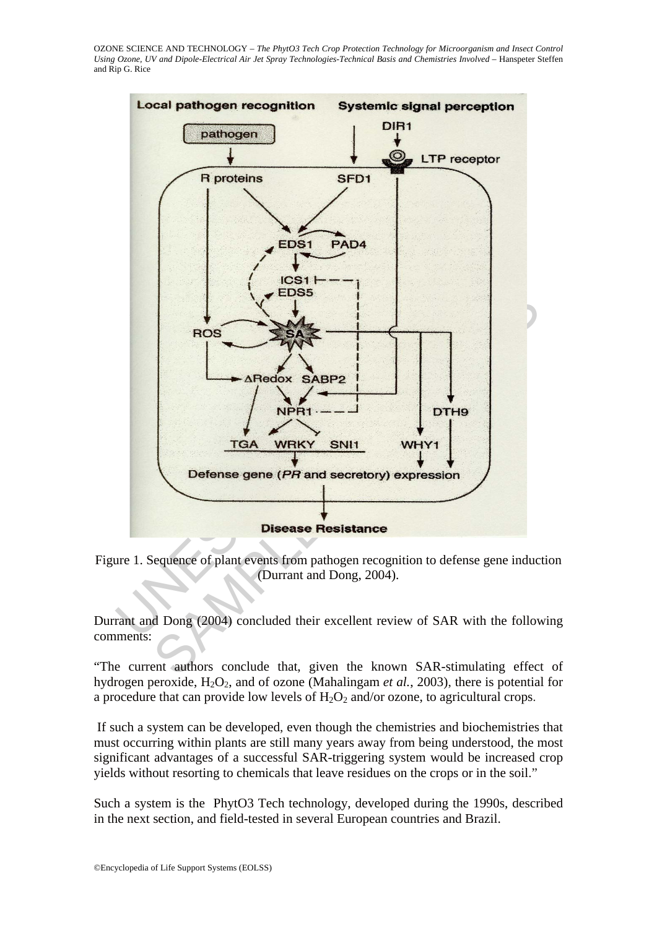

Figure 1. Sequence of plant events from pathogen recognition to defense gene induction (Durrant and Dong, 2004).

Durrant and Dong (2004) concluded their excellent review of SAR with the following comments:

"The current authors conclude that, given the known SAR-stimulating effect of hydrogen peroxide,  $H_2O_2$ , and of ozone (Mahalingam *et al.*, 2003), there is potential for a procedure that can provide low levels of  $H_2O_2$  and/or ozone, to agricultural crops.

If such a system can be developed, even though the chemistries and biochemistries that must occurring within plants are still many years away from being understood, the most significant advantages of a successful SAR-triggering system would be increased crop yields without resorting to chemicals that leave residues on the crops or in the soil."

Such a system is the PhytO3 Tech technology, developed during the 1990s, described in the next section, and field-tested in several European countries and Brazil.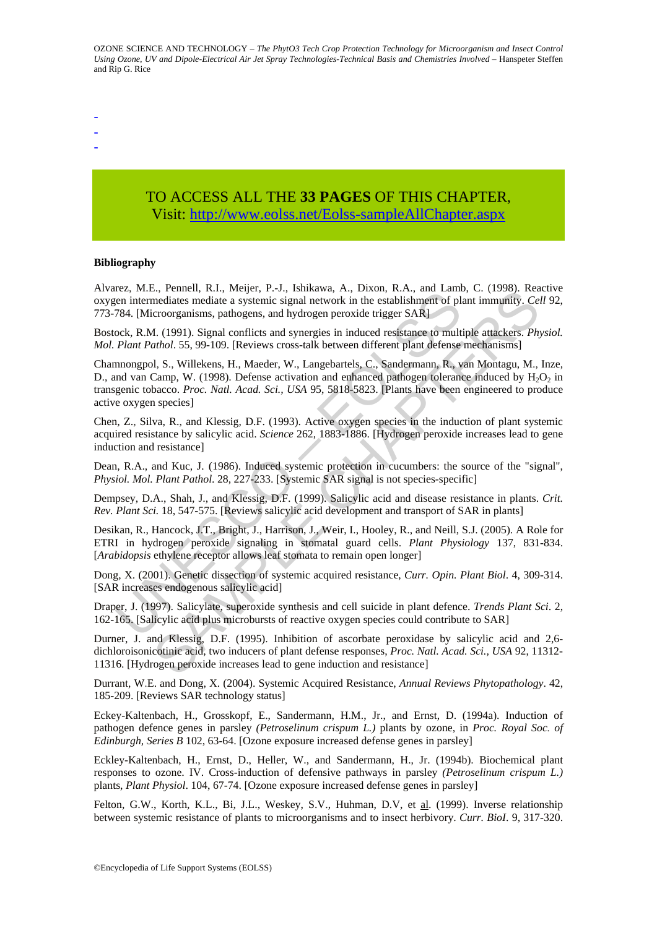-

- -

## TO ACCESS ALL THE **33 PAGES** OF THIS CHAPTER, Visit: [http://www.eolss.net/Eolss-sampleAllChapter.aspx](https://www.eolss.net/ebooklib/sc_cart.aspx?File=E6-192-10-00)

#### **Bibliography**

Alvarez, M.E., Pennell, R.I., Meijer, P.-J., Ishikawa, A., Dixon, R.A., and Lamb, C. (1998). Reactive oxygen intermediates mediate a systemic signal network in the establishment of plant immunity. *Cell* 92, 773-784. [Microorganisms, pathogens, and hydrogen peroxide trigger SAR]

Bostock, R.M. (1991). Signal conflicts and synergies in induced resistance to multiple attackers. *Physiol. Mol. Plant Pathol*. 55, 99-109. [Reviews cross-talk between different plant defense mechanisms]

Etz, 11.2, Teinch, 12, Hopey, 17.9, Homewa, 12, Datom, Ev.1, Homewa, 12, Datom, Ev.1, Homewar, Hopey, I. Homewar, 11, Datom (1991). Signal conflicts and synergies in induced resistance to mult Plant Pathol. 55, 99-109. [Re 2., renuei, K.r., weigel, r.-7., shinkowd, A., Dixoli, K.A., and Lainto, C. (1996). Kear<br>enediates mediate a systemic signal network in the establishment of plant immunity. Cearborganisms, pathogens, and hydrogen peroxide Chamnongpol, S., Willekens, H., Maeder, W., Langebartels, C., Sandermann, R., van Montagu, M., Inze, D., and van Camp, W. (1998). Defense activation and enhanced pathogen tolerance induced by  $H_2O_2$  in transgenic tobacco. *Proc. Natl. Acad. Sci., USA* 95, 5818-5823. [Plants have been engineered to produce active oxygen species]

Chen, Z., Silva, R., and Klessig, D.F. (1993). Active oxygen species in the induction of plant systemic acquired resistance by salicylic acid. *Science* 262, 1883-1886. [Hydrogen peroxide increases lead to gene induction and resistance]

Dean, R.A., and Kuc, J. (1986). Induced systemic protection in cucumbers: the source of the "signal", *Physiol. Mol. Plant Pathol*. 28, 227-233. [Systemic SAR signal is not species-specific]

Dempsey, D.A., Shah, J., and Klessig, D.F. (1999). Salicylic acid and disease resistance in plants. *Crit. Rev. Plant Sci.* 18, 547-575. [Reviews salicylic acid development and transport of SAR in plants]

Desikan, R., Hancock, J.T., Bright, J., Harrison, J., Weir, I., Hooley, R., and Neill, S.J. (2005). A Role for ETRI in hydrogen peroxide signaling in stomatal guard cells. *Plant Physiology* 137, 831-834. [*Arabidopsis* ethylene receptor allows leaf stomata to remain open longer]

Dong, X. (2001). Genetic dissection of systemic acquired resistance, *Curr. Opin. Plant Biol*. 4, 309-314. [SAR increases endogenous salicylic acid]

Draper, J. (1997). Salicylate, superoxide synthesis and cell suicide in plant defence. *Trends Plant Sci*. 2, 162-165. [Salicylic acid plus microbursts of reactive oxygen species could contribute to SAR]

Durner, J. and Klessig, D.F. (1995). Inhibition of ascorbate peroxidase by salicylic acid and 2,6 dichloroisonicotinic acid, two inducers of plant defense responses, *Proc. Natl. Acad. Sci., USA* 92, 11312- 11316. [Hydrogen peroxide increases lead to gene induction and resistance]

Durrant, W.E. and Dong, X. (2004). Systemic Acquired Resistance, *Annual Reviews Phytopathology*. 42, 185-209. [Reviews SAR technology status]

Eckey-Kaltenbach, H., Grosskopf, E., Sandermann, H.M., Jr., and Ernst, D. (1994a). Induction of pathogen defence genes in parsley *(Petroselinum crispum L.)* plants by ozone, in *Proc. Royal Soc. of Edinburgh, Series B* 102, 63-64. [Ozone exposure increased defense genes in parsley]

Eckley-Kaltenbach, H., Ernst, D., Heller, W., and Sandermann, H., Jr. (1994b). Biochemical plant responses to ozone. IV. Cross-induction of defensive pathways in parsley *(Petroselinum crispum L.)*  plants, *Plant Physiol*. 104, 67-74. [Ozone exposure increased defense genes in parsley]

Felton, G.W., Korth, K.L., Bi, J.L., Weskey, S.V., Huhman, D.V, et al. (1999). Inverse relationship between systemic resistance of plants to microorganisms and to insect herbivory. *Curr. BioI*. 9, 317-320.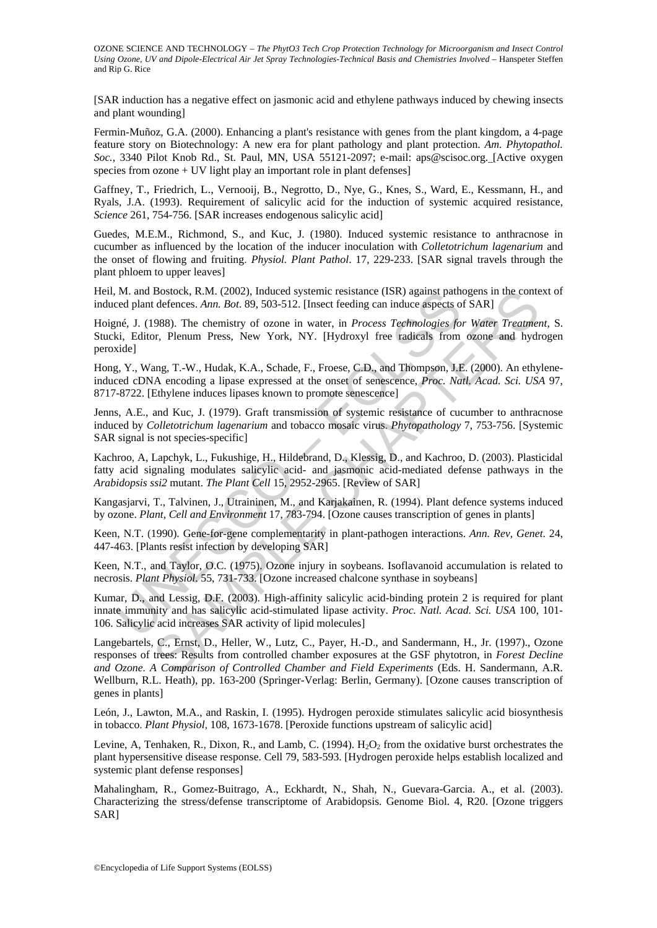[SAR induction has a negative effect on jasmonic acid and ethylene pathways induced by chewing insects and plant wounding]

Fermin-Muñoz, G.A. (2000). Enhancing a plant's resistance with genes from the plant kingdom, a 4-page feature story on Biotechnology: A new era for plant pathology and plant protection. *Am. Phytopathol. Soc.*, 3340 Pilot Knob Rd., St. Paul, MN, USA 55121-2097; e-mail: aps@scisoc.org. [Active oxygen species from ozone + UV light play an important role in plant defenses]

Gaffney, T., Friedrich, L., Vernooij, B., Negrotto, D., Nye, G., Knes, S., Ward, E., Kessmann, H., and Ryals, J.A. (1993). Requirement of salicylic acid for the induction of systemic acquired resistance, *Science* 261, 754-756. [SAR increases endogenous salicylic acid]

Guedes, M.E.M., Richmond, S., and Kuc, J. (1980). Induced systemic resistance to anthracnose in cucumber as influenced by the location of the inducer inoculation with *Colletotrichum lagenarium* and the onset of flowing and fruiting. *Physiol. Plant Pathol*. 17, 229-233. [SAR signal travels through the plant phloem to upper leaves]

Heil, M. and Bostock, R.M. (2002), Induced systemic resistance (ISR) against pathogens in the context of induced plant defences. *Ann. Bot*. 89, 503-512. [Insect feeding can induce aspects of SAR]

Hoigné, J. (1988). The chemistry of ozone in water, in *Process Technologies for Water Treatment,* S. Stucki, Editor, Plenum Press, New York, NY. [Hydroxyl free radicals from ozone and hydrogen peroxide]

M. and Bostock, R.M. (2002), Induced systemic resistance (ISR) against path<br>
and Bostock, R.M. (2002), Induced systemic resistance (ISR) against path<br>
exect feeding can induce aspects of<br>
exect feeding can induce aspects Hong, Y., Wang, T.-W., Hudak, K.A., Schade, F., Froese, C.D., and Thompson, J.E. (2000). An ethyleneinduced cDNA encoding a lipase expressed at the onset of senescence, *Proc. Natl. Acad. Sci. USA* 97, 8717-8722. [Ethylene induces lipases known to promote senescence]

Jenns, A.E., and Kuc, J. (1979). Graft transmission of systemic resistance of cucumber to anthracnose induced by *Colletotrichum lagenarium* and tobacco mosaic virus. *Phytopathology* 7, 753-756. [Systemic SAR signal is not species-specific]

Kachroo, A, Lapchyk, L., Fukushige, H., Hildebrand, D., Klessig, D., and Kachroo, D. (2003). Plasticidal fatty acid signaling modulates salicylic acid- and jasmonic acid-mediated defense pathways in the *Arabidopsis ssi2* mutant. *The Plant Cell* 15, 2952-2965. [Review of SAR]

Kangasjarvi, T., Talvinen, J., Utraininen, M., and Karjakainen, R. (1994). Plant defence systems induced by ozone. *Plant, Cell and Environment* 17, 783-794. [Ozone causes transcription of genes in plants]

Keen, N.T. (1990). Gene-for-gene complementarity in plant-pathogen interactions. *Ann. Rev, Genet*. 24, 447-463. [Plants resist infection by developing SAR]

Keen, N.T., and Taylor, O.C. (1975). Ozone injury in soybeans. Isoflavanoid accumulation is related to necrosis. *Plant Physiol*. 55, 731-733. [Ozone increased chalcone synthase in soybeans]

Kumar, D., and Lessig, D.F. (2003). High-affinity salicylic acid-binding protein 2 is required for plant innate immunity and has salicylic acid-stimulated lipase activity. *Proc. Natl. Acad. Sci. USA* 100, 101- 106. Salicylic acid increases SAR activity of lipid molecules]

Bostock, R.M. (2002), Induced systemic resistance (ISR) against pathogens in the content<br>defences. Am. Bot. 89, 503-512. [Insect feeding can induce aspects of SAR]<br>988). The chemistry of ozone in water, in *Process Technol* Langebartels, C., Ernst, D., Heller, W., Lutz, C., Payer, H.-D., and Sandermann, H., Jr. (1997)., Ozone responses of trees: Results from controlled chamber exposures at the GSF phytotron, in *Forest Decline and Ozone. A Comparison of Controlled Chamber and Field Experiments* (Eds. H. Sandermann, A.R. Wellburn, R.L. Heath), pp. 163-200 (Springer-Verlag: Berlin, Germany). [Ozone causes transcription of genes in plants]

León, J., Lawton, M.A., and Raskin, I. (1995). Hydrogen peroxide stimulates salicylic acid biosynthesis in tobacco. *Plant Physiol*, 108, 1673-1678. [Peroxide functions upstream of salicylic acid]

Levine, A, Tenhaken, R., Dixon, R., and Lamb, C. (1994).  $H_2O_2$  from the oxidative burst orchestrates the plant hypersensitive disease response. Cell 79, 583-593. [Hydrogen peroxide helps establish localized and systemic plant defense responses]

Mahalingham, R., Gomez-Buitrago, A., Eckhardt, N., Shah, N., Guevara-Garcia. A., et al. (2003). Characterizing the stress/defense transcriptome of Arabidopsis. Genome Biol. 4, R20. [Ozone triggers SAR]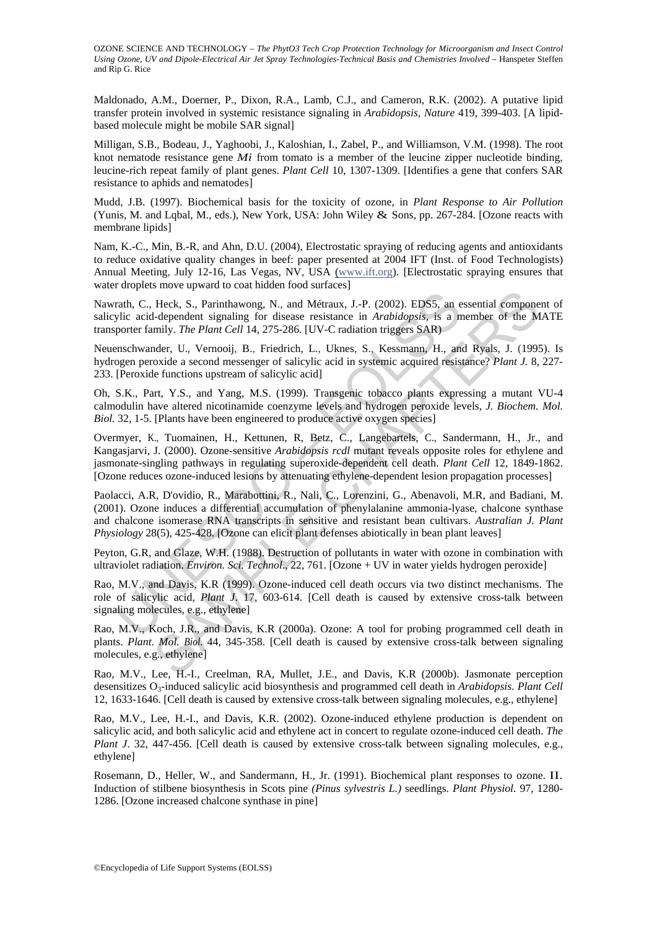Maldonado, A.M., Doerner, P., Dixon, R.A., Lamb, C.J., and Cameron, R.K. (2002). A putative lipid transfer protein involved in systemic resistance signaling in *Arabidopsis, Nature* 419, 399-403. [A lipidbased molecule might be mobile SAR signal]

Milligan, S.B., Bodeau, J., Yaghoobi, J., Kaloshian, I., Zabel, P., and Williamson, V.M. (1998). The root knot nematode resistance gene *Mi* from tomato is a member of the leucine zipper nucleotide binding, leucine-rich repeat family of plant genes. *Plant Cell* 10, 1307-1309. [Identifies a gene that confers SAR resistance to aphids and nematodes]

Mudd, J.B. (1997). Biochemical basis for the toxicity of ozone, in *Plant Response to Air Pollution*  (Yunis, M. and Lqbal, M., eds.), New York, USA: John Wiley & Sons, pp. 267-284. [Ozone reacts with membrane lipids]

Nam, K.-C., Min, B.-R, and Ahn, D.U. (2004), Electrostatic spraying of reducing agents and antioxidants to reduce oxidative quality changes in beef: paper presented at 2004 IFT (Inst. of Food Technologists) Annual Meeting, July 12-16, Las Vegas, NV, USA (www.ift.org). [Electrostatic spraying ensures that water droplets move upward to coat hidden food surfaces]

Nawrath, C., Heck, S., Parinthawong, N., and Métraux, J.-P. (2002). EDS5, an essential component of salicylic acid-dependent signaling for disease resistance in *Arabidopsis,* is a member of the MATE transporter family. *The Plant Cell* 14, 275-286. [UV-C radiation triggers SAR)

Neuenschwander, U., Vernooij, B., Friedrich, L., Uknes, S., Kessmann, H., and Ryals, J. (1995). Is hydrogen peroxide a second messenger of salicylic acid in systemic acquired resistance? *Plant J.* 8, 227- 233. [Peroxide functions upstream of salicylic acid]

Oh, S.K., Part, Y.S., and Yang, M.S. (1999). Transgenic tobacco plants expressing a mutant VU-4 calmodulin have altered nicotinamide coenzyme levels and hydrogen peroxide levels, *J. Biochem. Mol. Biol.* 32, 1-5. [Plants have been engineered to produce active oxygen species]

rath, C., Heck, S., Parinthawong, N., and Métraux, J.-P. (2002). EDS5, an eylic acid-dependent signaling for disease resistance in *Arabidopsis*, is a proter family. *The Plant Cell* 14, 275-286. [UV-C radiation triggers S Heck, S., Parinthawong, N., and Métraux, J.-P. (2002). EDS5, an essential component-d-dependent signaling for disease resistance in *Arabidopsis*, is a member of the M<br>mily. The Plant Cell 14, 275-286. [UV-C radiation tri Overmyer, K., Tuomainen, H., Kettunen, R, Betz, C., Langebartels, C., Sandermann, H., Jr., and Kangasjarvi, J. (2000). Ozone-sensitive *Arabidopsis rcdl* mutant reveals opposite roles for ethylene and jasmonate-singling pathways in regulating superoxide-dependent cell death. *Plant Cell* 12, 1849-1862. [Ozone reduces ozone-induced lesions by attenuating ethylene-dependent lesion propagation processes]

Paolacci, A.R, D'ovidio, R., Marabottini, R., Nali, C., Lorenzini, G., Abenavoli, M.R, and Badiani, M. (2001). Ozone induces a differential accumulation of phenylalanine ammonia-lyase, chalcone synthase and chalcone isomerase RNA transcripts in sensitive and resistant bean cultivars. *Australian J. Plant Physiology* 28(5), 425-428. [Ozone can elicit plant defenses abiotically in bean plant leaves]

Peyton, G.R, and Glaze, W.H. (1988). Destruction of pollutants in water with ozone in combination with ultraviolet radiation. *Environ. Sci. Technol*., 22, 761. [Ozone + UV in water yields hydrogen peroxide]

Rao, M.V., and Davis, K.R (1999). Ozone-induced cell death occurs via two distinct mechanisms. The role of salicylic acid, *Plant J*. 17, 603-614. [Cell death is caused by extensive cross-talk between signaling molecules, e.g., ethylene]

Rao, M.V., Koch, J.R., and Davis, K.R (2000a). Ozone: A tool for probing programmed cell death in plants. *Plant. Mol. Biol*. 44, 345-358. [Cell death is caused by extensive cross-talk between signaling molecules, e.g., ethylene]

Rao, M.V., Lee, H.-I., Creelman, RA, Mullet, J.E., and Davis, K.R (2000b). Jasmonate perception desensitizes O3-induced salicylic acid biosynthesis and programmed cell death in *Arabidopsis*. *Plant Cell* 12, 1633-1646. [Cell death is caused by extensive cross-talk between signaling molecules, e.g., ethylene]

Rao, M.V., Lee, H.-I., and Davis, K.R. (2002). Ozone-induced ethylene production is dependent on salicylic acid, and both salicylic acid and ethylene act in concert to regulate ozone-induced cell death. *The Plant J.* 32, 447-456. [Cell death is caused by extensive cross-talk between signaling molecules, e.g., ethylene]

Rosemann, D., Heller, W., and Sandermann, H., Jr. (1991). Biochemical plant responses to ozone. II. Induction of stilbene biosynthesis in Scots pine *(Pinus sylvestris L.)* seedlings. *Plant Physiol*. 97, 1280- 1286. [Ozone increased chalcone synthase in pine]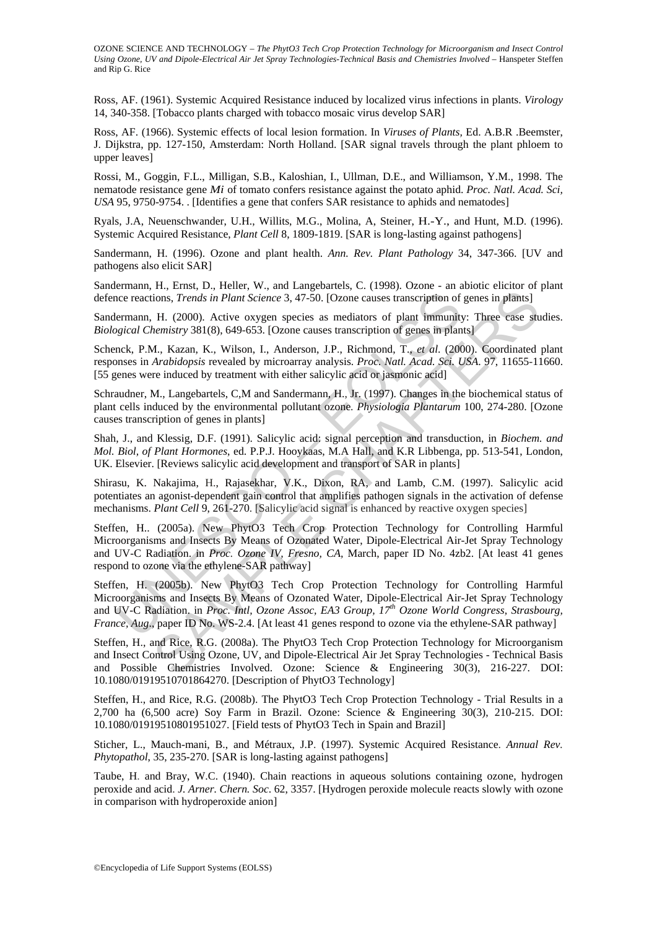Ross, AF. (1961). Systemic Acquired Resistance induced by localized virus infections in plants. *Virology*  14, 340-358. [Tobacco plants charged with tobacco mosaic virus develop SAR]

Ross, AF. (1966). Systemic effects of local lesion formation. In *Viruses of Plants,* Ed. A.B.R .Beemster, J. Dijkstra, pp. 127-150, Amsterdam: North Holland. [SAR signal travels through the plant phloem to upper leaves]

Rossi, M., Goggin, F.L., Milligan, S.B., Kaloshian, I., Ullman, D.E., and Williamson, Y.M., 1998. The nematode resistance gene *Mi* of tomato confers resistance against the potato aphid. *Proc. Natl. Acad. Sci, USA* 95, 9750-9754. . [Identifies a gene that confers SAR resistance to aphids and nematodes]

Ryals, J.A, Neuenschwander, U.H., Willits, M.G., Molina, A, Steiner, H.-Y., and Hunt, M.D. (1996). Systemic Acquired Resistance, *Plant Cell* 8, 1809-1819. [SAR is long-lasting against pathogens]

Sandermann, H. (1996). Ozone and plant health. *Ann. Rev. Plant Pathology* 34, 347-366. [UV and pathogens also elicit SAR]

Sandermann, H., Ernst, D., Heller, W., and Langebartels, C. (1998). Ozone - an abiotic elicitor of plant defence reactions, *Trends in Plant Science* 3, 47-50. [Ozone causes transcription of genes in plants]

Sandermann, H. (2000). Active oxygen species as mediators of plant immunity: Three case studies. *Biological Chemistry* 381(8), 649-653. [Ozone causes transcription of genes in plants]

Schenck, P.M., Kazan, K., Wilson, I., Anderson, J.P., Richmond, T., *et al*. (2000). Coordinated plant responses in *Arabidopsis* revealed by microarray analysis. *Proc. Natl. Acad. Sci. USA*. 97, 11655-11660. [55 genes were induced by treatment with either salicylic acid or jasmonic acid]

Schraudner, M., Langebartels, C,M and Sandermann, H., Jr. (1997). Changes in the biochemical status of plant cells induced by the environmental pollutant ozone. *Physiologia Plantarum* 100, 274-280. [Ozone causes transcription of genes in plants]

Shah, J., and Klessig, D.F. (1991). Salicylic acid: signal perception and transduction, in *Biochem. and Mol. Biol, of Plant Hormones*, ed. P.P.J. Hooykaas, M.A Hall, and K.R Libbenga, pp. 513-541, London, UK. Elsevier. [Reviews salicylic acid development and transport of SAR in plants]

Shirasu, K. Nakajima, H., Rajasekhar, V.K., Dixon, RA, and Lamb, C.M. (1997). Salicylic acid potentiates an agonist-dependent gain control that amplifies pathogen signals in the activation of defense mechanisms. *Plant Cell* 9, 261-270. [Salicylic acid signal is enhanced by reactive oxygen species]

ace reactions, *Trends in Plant Science* 3, 47-50. [Ozone causes transcription of<br>lermann, H. (2000). Active oxygen species as mediators of plant immunity<br>gical Chemistry 381(8), 649-653. [Ozone causes transcription of gen Entre Learn V. The matrix of the matrix and the state of the state of the consect theorem.<br>
I. (2000). Active oxygen species as mediators of plant immunity: Three ease stures:<br>
H. (2000). Active oxygen species as mediator Steffen, H.. (2005a). New PhytO3 Tech Crop Protection Technology for Controlling Harmful Microorganisms and Insects By Means of Ozonated Water, Dipole-Electrical Air-Jet Spray Technology and UV-C Radiation. in *Proc. Ozone IV, Fresno, CA,* March, paper ID No. 4zb2. [At least 41 genes respond to ozone via the ethylene-SAR pathway]

Steffen, H. (2005b). New PhytO3 Tech Crop Protection Technology for Controlling Harmful Microorganisms and Insects By Means of Ozonated Water, Dipole-Electrical Air-Jet Spray Technology and UV-C Radiation. in *Proc. Intl, Ozone Assoc, EA3 Group, 17th Ozone World Congress, Strasbourg, France, Aug.*, paper ID No. WS-2.4. [At least 41 genes respond to ozone via the ethylene-SAR pathway]

Steffen, H., and Rice, R.G. (2008a). The PhytO3 Tech Crop Protection Technology for Microorganism and Insect Control Using Ozone, UV, and Dipole-Electrical Air Jet Spray Technologies - Technical Basis and Possible Chemistries Involved. Ozone: Science & Engineering 30(3), 216-227. DOI: 10.1080/01919510701864270. [Description of PhytO3 Technology]

Steffen, H., and Rice, R.G. (2008b). The PhytO3 Tech Crop Protection Technology - Trial Results in a 2,700 ha (6,500 acre) Soy Farm in Brazil. Ozone: Science & Engineering 30(3), 210-215. DOI: 10.1080/01919510801951027. [Field tests of PhytO3 Tech in Spain and Brazil]

Sticher, L., Mauch-mani, B., and Métraux, J.P. (1997). Systemic Acquired Resistance. *Annual Rev. Phytopathol*, 35, 235-270. [SAR is long-lasting against pathogens]

Taube, H. and Bray, W.C. (1940). Chain reactions in aqueous solutions containing ozone, hydrogen peroxide and acid. *J. Arner. Chern. Soc*. 62, 3357. [Hydrogen peroxide molecule reacts slowly with ozone in comparison with hydroperoxide anion]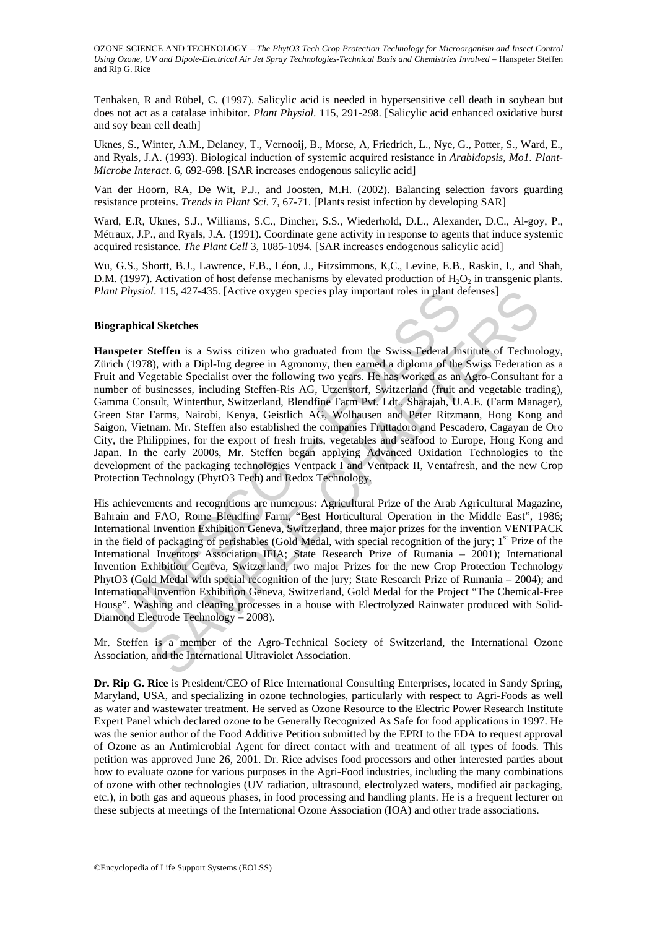Tenhaken, R and Rübel, C. (1997). Salicylic acid is needed in hypersensitive cell death in soybean but does not act as a catalase inhibitor. *Plant Physiol*. 115, 291-298. [Salicylic acid enhanced oxidative burst and soy bean cell death]

Uknes, S., Winter, A.M., Delaney, T., Vernooij, B., Morse, A, Friedrich, L., Nye, G., Potter, S., Ward, E., and Ryals, J.A. (1993). Biological induction of systemic acquired resistance in *Arabidopsis, Mo1. Plant-Microbe Interact*. 6, 692-698. [SAR increases endogenous salicylic acid]

Van der Hoorn, RA, De Wit, P.J., and Joosten, M.H. (2002). Balancing selection favors guarding resistance proteins. *Trends in Plant Sci*. 7, 67-71. [Plants resist infection by developing SAR]

Ward, E.R, Uknes, S.J., Williams, S.C., Dincher, S.S., Wiederhold, D.L., Alexander, D.C., Al-goy, P., Métraux, J.P., and Ryals, J.A. (1991). Coordinate gene activity in response to agents that induce systemic acquired resistance. *The Plant Cell* 3, 1085-1094. [SAR increases endogenous salicylic acid]

Wu, G.S., Shortt, B.J., Lawrence, E.B., Léon, J., Fitzsimmons, K,C., Levine, E.B., Raskin, I., and Shah, D.M. (1997). Activation of host defense mechanisms by elevated production of  $H_2O_2$  in transgenic plants. *Plant Physiol*. 115, 427-435. [Active oxygen species play important roles in plant defenses]

#### **Biographical Sketches**

*f Phystol.* 115, 42/-435. [Active oxygen species play important roles in plant d<br> **raphical Sketches**<br> **speter Steffen** is a Swiss citizen who graduated from the Swiss Federal In<br>  $\text{h1}$  (1978), with a Dip-I-mg degree i I. 115, 427-435. [Active oxygen species play important roles in plant defenses]<br>
Sketches<br>
Steffen is a Swiss citizen who graduated from the Swiss Federal Institute of Techno<br>
(b), with a Dipl-Ing degree in Agronomy, then **Hanspeter Steffen** is a Swiss citizen who graduated from the Swiss Federal Institute of Technology, Zürich (1978), with a Dipl-Ing degree in Agronomy, then earned a diploma of the Swiss Federation as a Fruit and Vegetable Specialist over the following two years. He has worked as an Agro-Consultant for a number of businesses, including Steffen-Ris AG, Utzenstorf, Switzerland (fruit and vegetable trading), Gamma Consult, Winterthur, Switzerland, Blendfine Farm Pvt. Ldt., Sharajah, U.A.E. (Farm Manager), Green Star Farms, Nairobi, Kenya, Geistlich AG, Wolhausen and Peter Ritzmann, Hong Kong and Saigon, Vietnam. Mr. Steffen also established the companies Fruttadoro and Pescadero, Cagayan de Oro City, the Philippines, for the export of fresh fruits, vegetables and seafood to Europe, Hong Kong and Japan. In the early 2000s, Mr. Steffen began applying Advanced Oxidation Technologies to the development of the packaging technologies Ventpack I and Ventpack II, Ventafresh, and the new Crop Protection Technology (PhytO3 Tech) and Redox Technology.

His achievements and recognitions are numerous: Agricultural Prize of the Arab Agricultural Magazine, Bahrain and FAO, Rome Blendfine Farm, "Best Horticultural Operation in the Middle East", 1986; International Invention Exhibition Geneva, Switzerland, three major prizes for the invention VENTPACK in the field of packaging of perishables (Gold Medal, with special recognition of the jury;  $1<sup>st</sup>$  Prize of the International Inventors Association IFIA; State Research Prize of Rumania – 2001); International Invention Exhibition Geneva, Switzerland, two major Prizes for the new Crop Protection Technology PhytO3 (Gold Medal with special recognition of the jury; State Research Prize of Rumania – 2004); and International Invention Exhibition Geneva, Switzerland, Gold Medal for the Project "The Chemical-Free House". Washing and cleaning processes in a house with Electrolyzed Rainwater produced with Solid-Diamond Electrode Technology – 2008).

Mr. Steffen is a member of the Agro-Technical Society of Switzerland, the International Ozone Association, and the International Ultraviolet Association.

**Dr. Rip G. Rice** is President/CEO of Rice International Consulting Enterprises, located in Sandy Spring, Maryland, USA, and specializing in ozone technologies, particularly with respect to Agri-Foods as well as water and wastewater treatment. He served as Ozone Resource to the Electric Power Research Institute Expert Panel which declared ozone to be Generally Recognized As Safe for food applications in 1997. He was the senior author of the Food Additive Petition submitted by the EPRI to the FDA to request approval of Ozone as an Antimicrobial Agent for direct contact with and treatment of all types of foods. This petition was approved June 26, 2001. Dr. Rice advises food processors and other interested parties about how to evaluate ozone for various purposes in the Agri-Food industries, including the many combinations of ozone with other technologies (UV radiation, ultrasound, electrolyzed waters, modified air packaging, etc.), in both gas and aqueous phases, in food processing and handling plants. He is a frequent lecturer on these subjects at meetings of the International Ozone Association (IOA) and other trade associations.